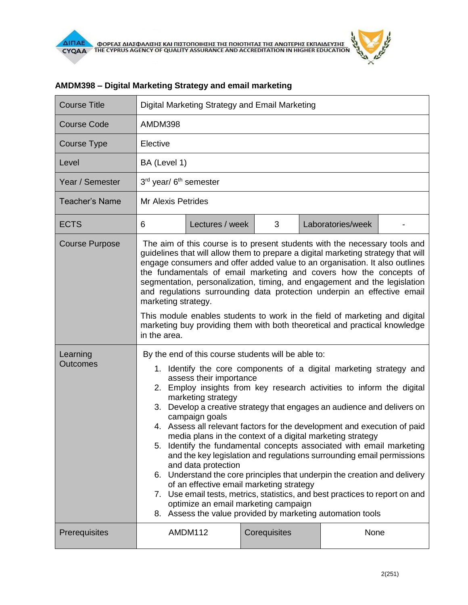| <b>Course Title</b>         | Digital Marketing Strategy and Email Marketing                                                                                                                                                                                                                                                                                                                                                                                                                                                                                                                                                                                                                                                                                                                                                                                                                                                                                                                                     |                 |              |                   |  |  |
|-----------------------------|------------------------------------------------------------------------------------------------------------------------------------------------------------------------------------------------------------------------------------------------------------------------------------------------------------------------------------------------------------------------------------------------------------------------------------------------------------------------------------------------------------------------------------------------------------------------------------------------------------------------------------------------------------------------------------------------------------------------------------------------------------------------------------------------------------------------------------------------------------------------------------------------------------------------------------------------------------------------------------|-----------------|--------------|-------------------|--|--|
| <b>Course Code</b>          | AMDM398                                                                                                                                                                                                                                                                                                                                                                                                                                                                                                                                                                                                                                                                                                                                                                                                                                                                                                                                                                            |                 |              |                   |  |  |
| Course Type                 | Elective                                                                                                                                                                                                                                                                                                                                                                                                                                                                                                                                                                                                                                                                                                                                                                                                                                                                                                                                                                           |                 |              |                   |  |  |
| Level                       | BA (Level 1)                                                                                                                                                                                                                                                                                                                                                                                                                                                                                                                                                                                                                                                                                                                                                                                                                                                                                                                                                                       |                 |              |                   |  |  |
| Year / Semester             | 3rd year/ 6 <sup>th</sup> semester                                                                                                                                                                                                                                                                                                                                                                                                                                                                                                                                                                                                                                                                                                                                                                                                                                                                                                                                                 |                 |              |                   |  |  |
| <b>Teacher's Name</b>       | <b>Mr Alexis Petrides</b>                                                                                                                                                                                                                                                                                                                                                                                                                                                                                                                                                                                                                                                                                                                                                                                                                                                                                                                                                          |                 |              |                   |  |  |
| <b>ECTS</b>                 | 6                                                                                                                                                                                                                                                                                                                                                                                                                                                                                                                                                                                                                                                                                                                                                                                                                                                                                                                                                                                  | Lectures / week | 3            | Laboratories/week |  |  |
| <b>Course Purpose</b>       | The aim of this course is to present students with the necessary tools and<br>guidelines that will allow them to prepare a digital marketing strategy that will<br>engage consumers and offer added value to an organisation. It also outlines<br>the fundamentals of email marketing and covers how the concepts of<br>segmentation, personalization, timing, and engagement and the legislation<br>and regulations surrounding data protection underpin an effective email<br>marketing strategy.<br>This module enables students to work in the field of marketing and digital<br>marketing buy providing them with both theoretical and practical knowledge<br>in the area.                                                                                                                                                                                                                                                                                                    |                 |              |                   |  |  |
| Learning<br><b>Outcomes</b> | By the end of this course students will be able to:<br>1. Identify the core components of a digital marketing strategy and<br>assess their importance<br>2. Employ insights from key research activities to inform the digital<br>marketing strategy<br>3. Develop a creative strategy that engages an audience and delivers on<br>campaign goals<br>4. Assess all relevant factors for the development and execution of paid<br>media plans in the context of a digital marketing strategy<br>5. Identify the fundamental concepts associated with email marketing<br>and the key legislation and regulations surrounding email permissions<br>and data protection<br>6. Understand the core principles that underpin the creation and delivery<br>of an effective email marketing strategy<br>7. Use email tests, metrics, statistics, and best practices to report on and<br>optimize an email marketing campaign<br>8. Assess the value provided by marketing automation tools |                 |              |                   |  |  |
| Prerequisites               |                                                                                                                                                                                                                                                                                                                                                                                                                                                                                                                                                                                                                                                                                                                                                                                                                                                                                                                                                                                    | AMDM112         | Corequisites | None              |  |  |

## **AMDM398 – Digital Marketing Strategy and email marketing**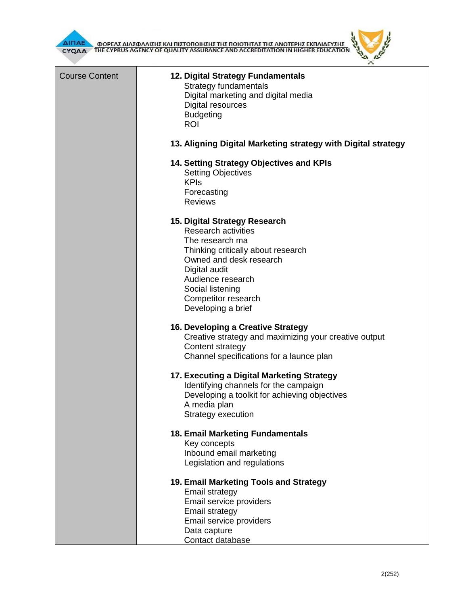

ΦΟΡΕΑΣ ΔΙΑΣΦΑΛΙΣΗΣ ΚΑΙ ΠΙΣΤΟΠΟΙΗΣΗΣ ΤΗΣ ΠΟΙΟΤΗΤΑΣ ΤΗΣ ΑΝΩΤΕΡΗΣ ΕΚΠΑΙΔΕΥΣΗΣ CYQAA THE CYPRUS AGENCY OF QUALITY ASSURANCE AND ACCREDITATION IN HIGHER EDUCATION

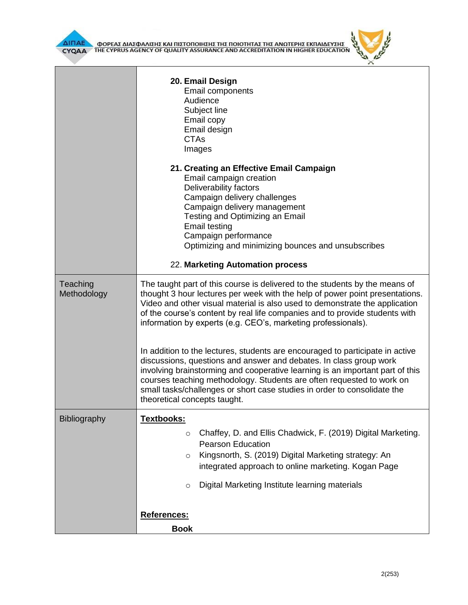



|                         | 20. Email Design<br><b>Email components</b><br>Audience<br>Subject line<br>Email copy<br>Email design<br><b>CTAs</b><br>Images                                                                                                                                                                                                                                                                                                                                                                                                                                                                                                                                                                                                                                                                                          |  |  |  |  |
|-------------------------|-------------------------------------------------------------------------------------------------------------------------------------------------------------------------------------------------------------------------------------------------------------------------------------------------------------------------------------------------------------------------------------------------------------------------------------------------------------------------------------------------------------------------------------------------------------------------------------------------------------------------------------------------------------------------------------------------------------------------------------------------------------------------------------------------------------------------|--|--|--|--|
|                         | 21. Creating an Effective Email Campaign<br>Email campaign creation<br>Deliverability factors<br>Campaign delivery challenges<br>Campaign delivery management<br>Testing and Optimizing an Email<br><b>Email testing</b><br>Campaign performance<br>Optimizing and minimizing bounces and unsubscribes<br>22. Marketing Automation process                                                                                                                                                                                                                                                                                                                                                                                                                                                                              |  |  |  |  |
| Teaching<br>Methodology | The taught part of this course is delivered to the students by the means of<br>thought 3 hour lectures per week with the help of power point presentations.<br>Video and other visual material is also used to demonstrate the application<br>of the course's content by real life companies and to provide students with<br>information by experts (e.g. CEO's, marketing professionals).<br>In addition to the lectures, students are encouraged to participate in active<br>discussions, questions and answer and debates. In class group work<br>involving brainstorming and cooperative learning is an important part of this<br>courses teaching methodology. Students are often requested to work on<br>small tasks/challenges or short case studies in order to consolidate the<br>theoretical concepts taught. |  |  |  |  |
|                         |                                                                                                                                                                                                                                                                                                                                                                                                                                                                                                                                                                                                                                                                                                                                                                                                                         |  |  |  |  |
| Bibliography            | <u> Textbooks:</u><br>Chaffey, D. and Ellis Chadwick, F. (2019) Digital Marketing.<br>$\circ$<br><b>Pearson Education</b><br>Kingsnorth, S. (2019) Digital Marketing strategy: An<br>$\circ$<br>integrated approach to online marketing. Kogan Page<br>Digital Marketing Institute learning materials<br>$\circ$                                                                                                                                                                                                                                                                                                                                                                                                                                                                                                        |  |  |  |  |
|                         | References:<br><b>Book</b>                                                                                                                                                                                                                                                                                                                                                                                                                                                                                                                                                                                                                                                                                                                                                                                              |  |  |  |  |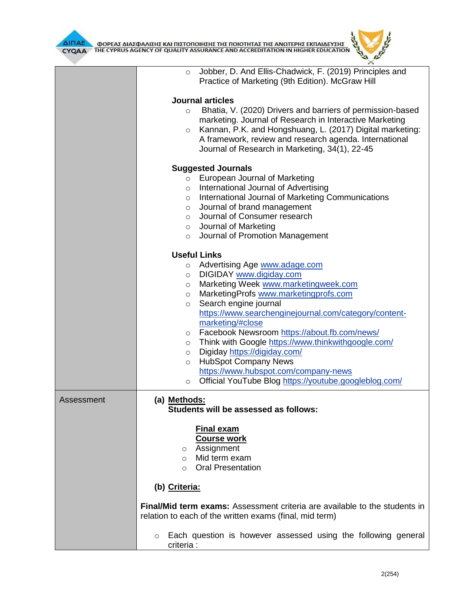